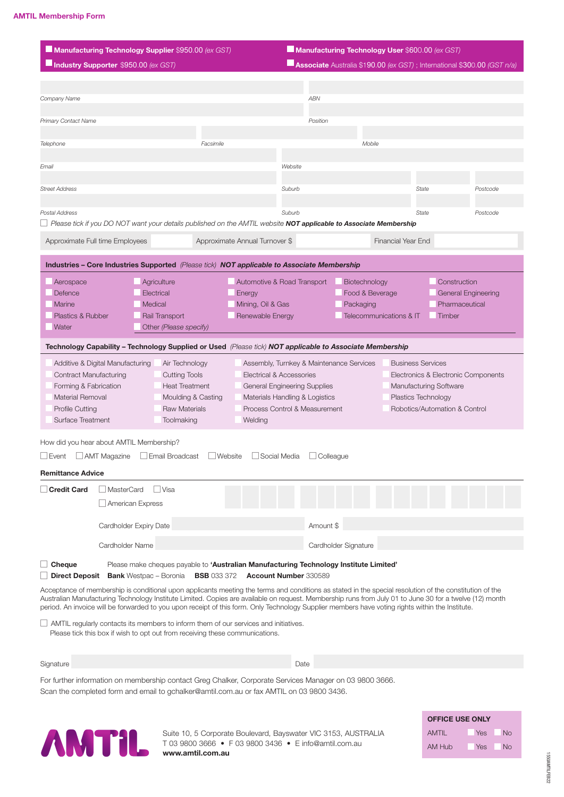| Manufacturing Technology Supplier \$950.00 (ex GST)                                                                                                                                                                                                                                                                                                                                                                                                                                                                                                                                                                                                    |                                                                                                                             |                                                                                                              | Manufacturing Technology User \$600.00 (ex GST)                                                                                                                         |                                                 |                                                                           |                                                                                   |
|--------------------------------------------------------------------------------------------------------------------------------------------------------------------------------------------------------------------------------------------------------------------------------------------------------------------------------------------------------------------------------------------------------------------------------------------------------------------------------------------------------------------------------------------------------------------------------------------------------------------------------------------------------|-----------------------------------------------------------------------------------------------------------------------------|--------------------------------------------------------------------------------------------------------------|-------------------------------------------------------------------------------------------------------------------------------------------------------------------------|-------------------------------------------------|---------------------------------------------------------------------------|-----------------------------------------------------------------------------------|
| Industry Supporter \$950.00 (ex GST)                                                                                                                                                                                                                                                                                                                                                                                                                                                                                                                                                                                                                   |                                                                                                                             |                                                                                                              |                                                                                                                                                                         |                                                 |                                                                           | <b>Associate</b> Australia \$190.00 (ex GST); International \$300.00 (GST $n/a$ ) |
|                                                                                                                                                                                                                                                                                                                                                                                                                                                                                                                                                                                                                                                        |                                                                                                                             |                                                                                                              |                                                                                                                                                                         |                                                 |                                                                           |                                                                                   |
| Company Name                                                                                                                                                                                                                                                                                                                                                                                                                                                                                                                                                                                                                                           |                                                                                                                             |                                                                                                              | <b>ABN</b>                                                                                                                                                              |                                                 |                                                                           |                                                                                   |
| Primary Contact Name                                                                                                                                                                                                                                                                                                                                                                                                                                                                                                                                                                                                                                   |                                                                                                                             |                                                                                                              | Position                                                                                                                                                                |                                                 |                                                                           |                                                                                   |
|                                                                                                                                                                                                                                                                                                                                                                                                                                                                                                                                                                                                                                                        |                                                                                                                             |                                                                                                              |                                                                                                                                                                         |                                                 |                                                                           |                                                                                   |
| Telephone                                                                                                                                                                                                                                                                                                                                                                                                                                                                                                                                                                                                                                              |                                                                                                                             | Facsimile                                                                                                    |                                                                                                                                                                         | Mobile                                          |                                                                           |                                                                                   |
| Email                                                                                                                                                                                                                                                                                                                                                                                                                                                                                                                                                                                                                                                  |                                                                                                                             |                                                                                                              | Website                                                                                                                                                                 |                                                 |                                                                           |                                                                                   |
| <b>Street Address</b>                                                                                                                                                                                                                                                                                                                                                                                                                                                                                                                                                                                                                                  |                                                                                                                             |                                                                                                              | Suburb                                                                                                                                                                  |                                                 | State                                                                     | Postcode                                                                          |
|                                                                                                                                                                                                                                                                                                                                                                                                                                                                                                                                                                                                                                                        |                                                                                                                             |                                                                                                              |                                                                                                                                                                         |                                                 |                                                                           |                                                                                   |
| Postal Address<br>Please tick if you DO NOT want your details published on the AMTIL website NOT applicable to Associate Membership                                                                                                                                                                                                                                                                                                                                                                                                                                                                                                                    |                                                                                                                             |                                                                                                              | Suburb                                                                                                                                                                  |                                                 | State                                                                     | Postcode                                                                          |
|                                                                                                                                                                                                                                                                                                                                                                                                                                                                                                                                                                                                                                                        |                                                                                                                             |                                                                                                              |                                                                                                                                                                         |                                                 |                                                                           |                                                                                   |
| Approximate Full time Employees                                                                                                                                                                                                                                                                                                                                                                                                                                                                                                                                                                                                                        |                                                                                                                             | Approximate Annual Turnover \$                                                                               |                                                                                                                                                                         | Financial Year End                              |                                                                           |                                                                                   |
| Industries - Core Industries Supported (Please tick) NOT applicable to Associate Membership                                                                                                                                                                                                                                                                                                                                                                                                                                                                                                                                                            |                                                                                                                             |                                                                                                              |                                                                                                                                                                         |                                                 |                                                                           |                                                                                   |
| Aerospace                                                                                                                                                                                                                                                                                                                                                                                                                                                                                                                                                                                                                                              | Agriculture                                                                                                                 |                                                                                                              | Automotive & Road Transport                                                                                                                                             | Biotechnology                                   |                                                                           | Construction                                                                      |
| Defence<br>Marine                                                                                                                                                                                                                                                                                                                                                                                                                                                                                                                                                                                                                                      | Electrical                                                                                                                  | Energy                                                                                                       |                                                                                                                                                                         | Food & Beverage                                 |                                                                           | General Engineering<br>Pharmaceutical                                             |
| Plastics & Rubber                                                                                                                                                                                                                                                                                                                                                                                                                                                                                                                                                                                                                                      | Medical<br>Rail Transport                                                                                                   | Mining, Oil & Gas<br>Renewable Energy                                                                        |                                                                                                                                                                         | Packaging<br><b>Telecommunications &amp; IT</b> |                                                                           | Timber                                                                            |
| Water                                                                                                                                                                                                                                                                                                                                                                                                                                                                                                                                                                                                                                                  | Other (Please specify)                                                                                                      |                                                                                                              |                                                                                                                                                                         |                                                 |                                                                           |                                                                                   |
| Technology Capability – Technology Supplied or Used (Please tick) NOT applicable to Associate Membership                                                                                                                                                                                                                                                                                                                                                                                                                                                                                                                                               |                                                                                                                             |                                                                                                              |                                                                                                                                                                         |                                                 |                                                                           |                                                                                   |
| Additive & Digital Manufacturing<br><b>Contract Manufacturing</b><br>Forming & Fabrication<br>Material Removal<br>Profile Cutting<br>Surface Treatment                                                                                                                                                                                                                                                                                                                                                                                                                                                                                                 | Air Technology<br><b>Cutting Tools</b><br><b>Heat Treatment</b><br>Moulding & Casting<br><b>Raw Materials</b><br>Toolmaking | Welding                                                                                                      | Assembly, Turnkey & Maintenance Services<br>Electrical & Accessories<br>General Engineering Supplies<br>Materials Handling & Logistics<br>Process Control & Measurement |                                                 | <b>Business Services</b><br>Manufacturing Software<br>Plastics Technology | Electronics & Electronic Components<br>Robotics/Automation & Control              |
| How did you hear about AMTIL Membership?                                                                                                                                                                                                                                                                                                                                                                                                                                                                                                                                                                                                               |                                                                                                                             |                                                                                                              |                                                                                                                                                                         |                                                 |                                                                           |                                                                                   |
| AMT Magazine<br>Event                                                                                                                                                                                                                                                                                                                                                                                                                                                                                                                                                                                                                                  | Email Broadcast                                                                                                             | $\Box$ Website                                                                                               | Social Media<br>Colleague                                                                                                                                               |                                                 |                                                                           |                                                                                   |
| <b>Remittance Advice</b>                                                                                                                                                                                                                                                                                                                                                                                                                                                                                                                                                                                                                               |                                                                                                                             |                                                                                                              |                                                                                                                                                                         |                                                 |                                                                           |                                                                                   |
| <b>Credit Card</b><br>MasterCard                                                                                                                                                                                                                                                                                                                                                                                                                                                                                                                                                                                                                       | Visa<br>American Express                                                                                                    |                                                                                                              |                                                                                                                                                                         |                                                 |                                                                           |                                                                                   |
|                                                                                                                                                                                                                                                                                                                                                                                                                                                                                                                                                                                                                                                        |                                                                                                                             |                                                                                                              |                                                                                                                                                                         |                                                 |                                                                           |                                                                                   |
|                                                                                                                                                                                                                                                                                                                                                                                                                                                                                                                                                                                                                                                        | Cardholder Expiry Date                                                                                                      |                                                                                                              | Amount \$                                                                                                                                                               |                                                 |                                                                           |                                                                                   |
| Cardholder Name                                                                                                                                                                                                                                                                                                                                                                                                                                                                                                                                                                                                                                        |                                                                                                                             |                                                                                                              |                                                                                                                                                                         | Cardholder Signature                            |                                                                           |                                                                                   |
| Cheque<br><b>Direct Deposit</b>                                                                                                                                                                                                                                                                                                                                                                                                                                                                                                                                                                                                                        | <b>Bank</b> Westpac - Boronia                                                                                               | Please make cheques payable to 'Australian Manufacturing Technology Institute Limited'<br><b>BSB</b> 033 372 | Account Number 330589                                                                                                                                                   |                                                 |                                                                           |                                                                                   |
| Acceptance of membership is conditional upon applicants meeting the terms and conditions as stated in the special resolution of the constitution of the<br>Australian Manufacturing Technology Institute Limited. Copies are available on request. Membership runs from July 01 to June 30 for a twelve (12) month<br>period. An invoice will be forwarded to you upon receipt of this form. Only Technology Supplier members have voting rights within the Institute.<br>$\perp$ AMTIL regularly contacts its members to inform them of our services and initiatives.<br>Please tick this box if wish to opt out from receiving these communications. |                                                                                                                             |                                                                                                              |                                                                                                                                                                         |                                                 |                                                                           |                                                                                   |
| Signature                                                                                                                                                                                                                                                                                                                                                                                                                                                                                                                                                                                                                                              |                                                                                                                             |                                                                                                              | Date                                                                                                                                                                    |                                                 |                                                                           |                                                                                   |
| For further information on membership contact Greg Chalker, Corporate Services Manager on 03 9800 3666.<br>Scan the completed form and email to gchalker@amtil.com.au or fax AMTIL on 03 9800 3436.                                                                                                                                                                                                                                                                                                                                                                                                                                                    |                                                                                                                             |                                                                                                              |                                                                                                                                                                         |                                                 |                                                                           |                                                                                   |



Suite 10, 5 Corporate Boulevard, Bayswater VIC 3153, AUSTRALIA T 03 9800 3666 • F 03 9800 3436 • E info@amtil.com.au www.amtil.com.au

| <b>OFFICE USE ONLY</b> |     |    |  |  |  |
|------------------------|-----|----|--|--|--|
| <b>AMTIL</b>           | Yes | Nο |  |  |  |
| AM Hub                 | Yes | Nο |  |  |  |